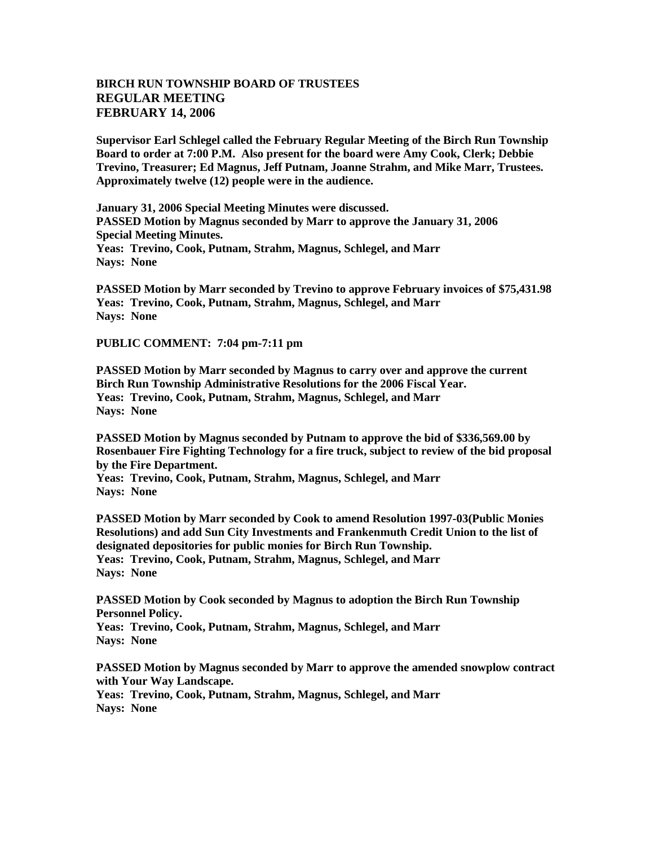## **BIRCH RUN TOWNSHIP BOARD OF TRUSTEES REGULAR MEETING FEBRUARY 14, 2006**

**Supervisor Earl Schlegel called the February Regular Meeting of the Birch Run Township Board to order at 7:00 P.M. Also present for the board were Amy Cook, Clerk; Debbie Trevino, Treasurer; Ed Magnus, Jeff Putnam, Joanne Strahm, and Mike Marr, Trustees. Approximately twelve (12) people were in the audience.** 

**January 31, 2006 Special Meeting Minutes were discussed. PASSED Motion by Magnus seconded by Marr to approve the January 31, 2006 Special Meeting Minutes. Yeas: Trevino, Cook, Putnam, Strahm, Magnus, Schlegel, and Marr Nays: None**

**PASSED Motion by Marr seconded by Trevino to approve February invoices of \$75,431.98 Yeas: Trevino, Cook, Putnam, Strahm, Magnus, Schlegel, and Marr Nays: None** 

**PUBLIC COMMENT: 7:04 pm-7:11 pm**

**PASSED Motion by Marr seconded by Magnus to carry over and approve the current Birch Run Township Administrative Resolutions for the 2006 Fiscal Year. Yeas: Trevino, Cook, Putnam, Strahm, Magnus, Schlegel, and Marr Nays: None**

**PASSED Motion by Magnus seconded by Putnam to approve the bid of \$336,569.00 by Rosenbauer Fire Fighting Technology for a fire truck, subject to review of the bid proposal by the Fire Department.**

**Yeas: Trevino, Cook, Putnam, Strahm, Magnus, Schlegel, and Marr Nays: None**

**PASSED Motion by Marr seconded by Cook to amend Resolution 1997-03(Public Monies Resolutions) and add Sun City Investments and Frankenmuth Credit Union to the list of designated depositories for public monies for Birch Run Township. Yeas: Trevino, Cook, Putnam, Strahm, Magnus, Schlegel, and Marr Nays: None**

**PASSED Motion by Cook seconded by Magnus to adoption the Birch Run Township Personnel Policy. Yeas: Trevino, Cook, Putnam, Strahm, Magnus, Schlegel, and Marr Nays: None**

**PASSED Motion by Magnus seconded by Marr to approve the amended snowplow contract with Your Way Landscape. Yeas: Trevino, Cook, Putnam, Strahm, Magnus, Schlegel, and Marr Nays: None**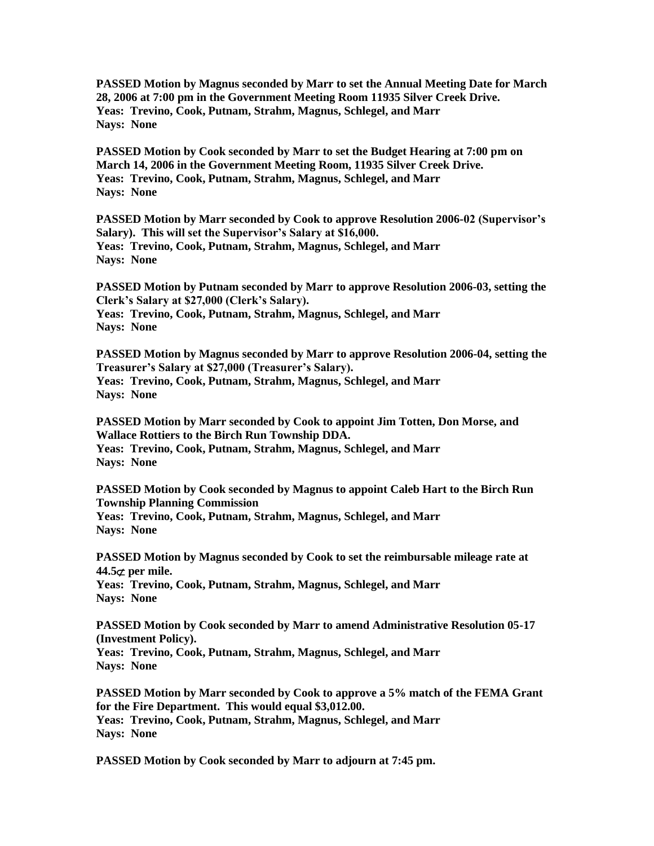**PASSED Motion by Magnus seconded by Marr to set the Annual Meeting Date for March 28, 2006 at 7:00 pm in the Government Meeting Room 11935 Silver Creek Drive. Yeas: Trevino, Cook, Putnam, Strahm, Magnus, Schlegel, and Marr Nays: None**

**PASSED Motion by Cook seconded by Marr to set the Budget Hearing at 7:00 pm on March 14, 2006 in the Government Meeting Room, 11935 Silver Creek Drive. Yeas: Trevino, Cook, Putnam, Strahm, Magnus, Schlegel, and Marr Nays: None**

**PASSED Motion by Marr seconded by Cook to approve Resolution 2006-02 (Supervisor's Salary). This will set the Supervisor's Salary at \$16,000. Yeas: Trevino, Cook, Putnam, Strahm, Magnus, Schlegel, and Marr Nays: None**

**PASSED Motion by Putnam seconded by Marr to approve Resolution 2006-03, setting the Clerk's Salary at \$27,000 (Clerk's Salary). Yeas: Trevino, Cook, Putnam, Strahm, Magnus, Schlegel, and Marr Nays: None**

**PASSED Motion by Magnus seconded by Marr to approve Resolution 2006-04, setting the Treasurer's Salary at \$27,000 (Treasurer's Salary). Yeas: Trevino, Cook, Putnam, Strahm, Magnus, Schlegel, and Marr Nays: None**

**PASSED Motion by Marr seconded by Cook to appoint Jim Totten, Don Morse, and Wallace Rottiers to the Birch Run Township DDA. Yeas: Trevino, Cook, Putnam, Strahm, Magnus, Schlegel, and Marr Nays: None**

**PASSED Motion by Cook seconded by Magnus to appoint Caleb Hart to the Birch Run Township Planning Commission Yeas: Trevino, Cook, Putnam, Strahm, Magnus, Schlegel, and Marr Nays: None**

**PASSED Motion by Magnus seconded by Cook to set the reimbursable mileage rate at 44.5**⊄ **per mile.** 

**Yeas: Trevino, Cook, Putnam, Strahm, Magnus, Schlegel, and Marr Nays: None**

**PASSED Motion by Cook seconded by Marr to amend Administrative Resolution 05-17 (Investment Policy).**

**Yeas: Trevino, Cook, Putnam, Strahm, Magnus, Schlegel, and Marr Nays: None**

**PASSED Motion by Marr seconded by Cook to approve a 5% match of the FEMA Grant for the Fire Department. This would equal \$3,012.00. Yeas: Trevino, Cook, Putnam, Strahm, Magnus, Schlegel, and Marr Nays: None**

**PASSED Motion by Cook seconded by Marr to adjourn at 7:45 pm.**